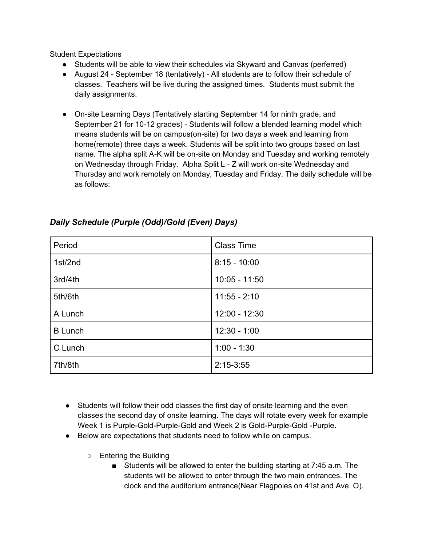Student Expectations

- Students will be able to view their schedules via Skyward and Canvas (perferred)
- August 24 September 18 (tentatively) All students are to follow their schedule of classes. Teachers will be live during the assigned times. Students must submit the daily assignments.
- On-site Learning Days (Tentatively starting September 14 for ninth grade, and September 21 for 10-12 grades) - Students will follow a blended learning model which means students will be on campus(on-site) for two days a week and learning from home(remote) three days a week. Students will be split into two groups based on last name. The alpha split A-K will be on-site on Monday and Tuesday and working remotely on Wednesday through Friday. Alpha Split L - Z will work on-site Wednesday and Thursday and work remotely on Monday, Tuesday and Friday. The daily schedule will be as follows:

| Period         | <b>Class Time</b> |
|----------------|-------------------|
| 1st/2nd        | $8:15 - 10:00$    |
| 3rd/4th        | $10:05 - 11:50$   |
| 5th/6th        | $11:55 - 2:10$    |
| A Lunch        | $12:00 - 12:30$   |
| <b>B</b> Lunch | $12:30 - 1:00$    |
| C Lunch        | $1:00 - 1:30$     |
| 7th/8th        | $2:15-3:55$       |

## *Daily Schedule (Purple (Odd)/Gold (Even) Days)*

- Students will follow their odd classes the first day of onsite learning and the even classes the second day of onsite learning. The days will rotate every week for example Week 1 is Purple-Gold-Purple-Gold and Week 2 is Gold-Purple-Gold -Purple.
- Below are expectations that students need to follow while on campus.
	- Entering the Building
		- Students will be allowed to enter the building starting at 7:45 a.m. The students will be allowed to enter through the two main entrances. The clock and the auditorium entrance(Near Flagpoles on 41st and Ave. O).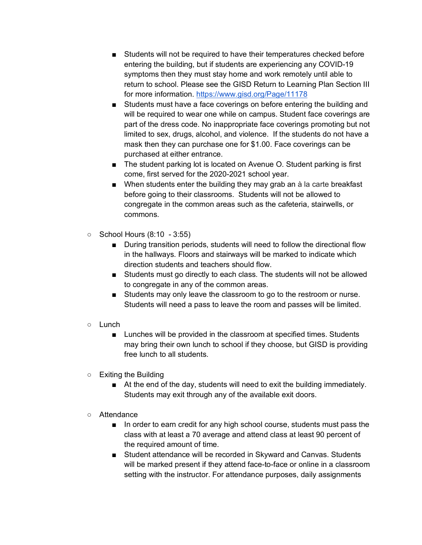- Students will not be required to have their temperatures checked before entering the building, but if students are experiencing any COVID-19 symptoms then they must stay home and work remotely until able to return to school. Please see the GISD Return to Learning Plan Section III for more information. https://www.gisd.org/Page/11178
- Students must have a face coverings on before entering the building and will be required to wear one while on campus. Student face coverings are part of the dress code. No inappropriate face coverings promoting but not limited to sex, drugs, alcohol, and violence. If the students do not have a mask then they can purchase one for \$1.00. Face coverings can be purchased at either entrance.
- The student parking lot is located on Avenue O. Student parking is first come, first served for the 2020-2021 school year.
- When students enter the building they may grab an à la carte breakfast before going to their classrooms. Students will not be allowed to congregate in the common areas such as the cafeteria, stairwells, or commons.
- School Hours (8:10 3:55)
	- During transition periods, students will need to follow the directional flow in the hallways. Floors and stairways will be marked to indicate which direction students and teachers should flow.
	- Students must go directly to each class. The students will not be allowed to congregate in any of the common areas.
	- Students may only leave the classroom to go to the restroom or nurse. Students will need a pass to leave the room and passes will be limited.
- Lunch
	- Lunches will be provided in the classroom at specified times. Students may bring their own lunch to school if they choose, but GISD is providing free lunch to all students.
- Exiting the Building
	- At the end of the day, students will need to exit the building immediately. Students may exit through any of the available exit doors.
- Attendance
	- In order to earn credit for any high school course, students must pass the class with at least a 70 average and attend class at least 90 percent of the required amount of time.
	- Student attendance will be recorded in Skyward and Canvas. Students will be marked present if they attend face-to-face or online in a classroom setting with the instructor. For attendance purposes, daily assignments